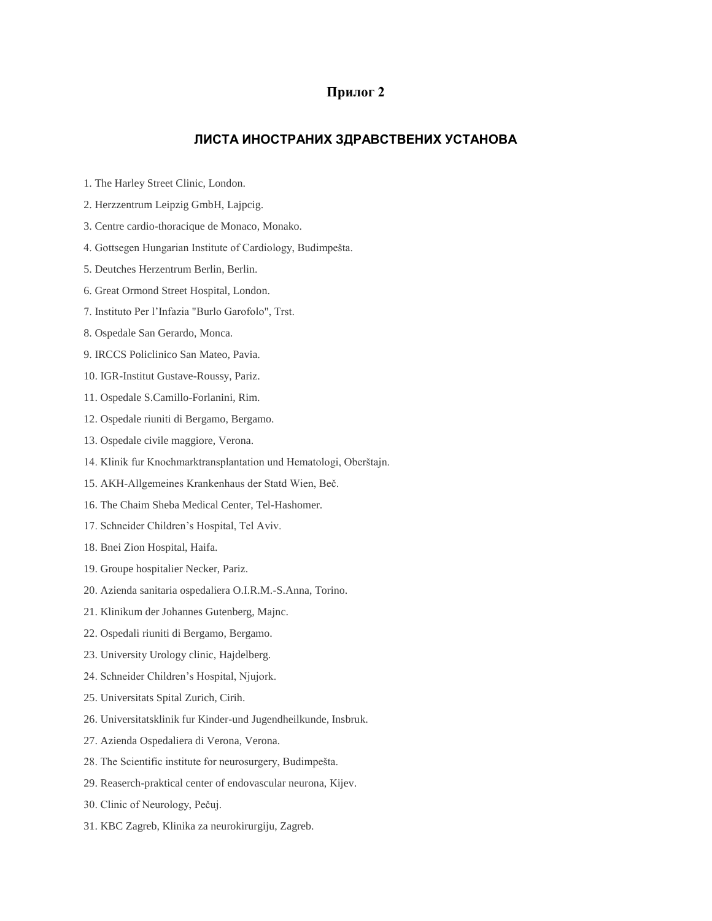## **Прилог 2**

## **ЛИСТА ИНОСТРАНИХ ЗДРАВСТВЕНИХ УСТАНОВА**

- 1. The Harley Street Clinic, London.
- 2. Herzzentrum Leipzig GmbH, Lajpcig.
- 3. Centre cardio-thoracique de Monaco, Monako.
- 4. Gottsegen Hungarian Institute of Cardiology, Budimpešta.
- 5. Deutches Herzentrum Berlin, Berlin.
- 6. Great Ormond Street Hospital, London.
- 7. Instituto Per l'Infazia "Burlo Garofolo", Trst.
- 8. Ospedale San Gerardo, Monca.
- 9. IRCCS Policlinico San Mateo, Pavia.
- 10. IGR-Institut Gustave-Roussy, Pariz.
- 11. Ospedale S.Camillo-Forlanini, Rim.
- 12. Ospedale riuniti di Bergamo, Bergamo.
- 13. Ospedale civile maggiore, Verona.
- 14. Klinik fur Knochmarktransplantation und Hematologi, Oberštajn.
- 15. AKH-Allgemeines Krankenhaus der Statd Wien, Beč.
- 16. The Chaim Sheba Medical Center, Tel-Hashomer.
- 17. Schneider Children's Hospital, Tel Aviv.
- 18. Bnei Zion Hospital, Haifa.
- 19. Groupe hospitalier Necker, Pariz.
- 20. Azienda sanitaria ospedaliera O.I.R.M.-S.Anna, Torino.
- 21. Klinikum der Johannes Gutenberg, Majnc.
- 22. Ospedali riuniti di Bergamo, Bergamo.
- 23. University Urology clinic, Hajdelberg.
- 24. Schneider Children's Hospital, Njujork.
- 25. Universitats Spital Zurich, Cirih.
- 26. Universitatsklinik fur Kinder-und Jugendheilkunde, Insbruk.
- 27. Azienda Ospedaliera di Verona, Verona.
- 28. The Scientific institute for neurosurgery, Budimpešta.
- 29. Reaserch-praktical center of endovascular neurona, Kijev.
- 30. Clinic of Neurology, Pečuj.
- 31. KBC Zagreb, Klinika za neurokirurgiju, Zagreb.